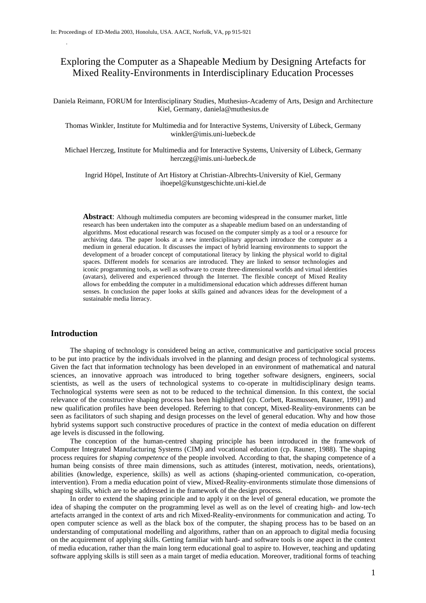# Exploring the Computer as a Shapeable Medium by Designing Artefacts for Mixed Reality-Environments in Interdisciplinary Education Processes

Daniela Reimann, FORUM for Interdisciplinary Studies, Muthesius-Academy of Arts, Design and Architecture Kiel, Germany, daniela@muthesius.de

Thomas Winkler, Institute for Multimedia and for Interactive Systems, University of Lübeck, Germany winkler@imis.uni-luebeck.de

Michael Herczeg, Institute for Multimedia and for Interactive Systems, University of Lübeck, Germany herczeg@imis.uni-luebeck.de

Ingrid Höpel, Institute of Art History at Christian-Albrechts-University of Kiel, Germany ihoepel@kunstgeschichte.uni-kiel.de

**Abstract**: Although multimedia computers are becoming widespread in the consumer market, little research has been undertaken into the computer as a shapeable medium based on an understanding of algorithms. Most educational research was focused on the computer simply as a tool or a resource for archiving data. The paper looks at a new interdisciplinary approach introduce the computer as a medium in general education. It discusses the impact of hybrid learning environments to support the development of a broader concept of computational literacy by linking the physical world to digital spaces. Different models for scenarios are introduced. They are linked to sensor technologies and iconic programming tools, as well as software to create three-dimensional worlds and virtual identities (avatars), delivered and experienced through the Internet. The flexible concept of Mixed Reality allows for embedding the computer in a multidimensional education which addresses different human senses. In conclusion the paper looks at skills gained and advances ideas for the development of a sustainable media literacy.

## **Introduction**

.

The shaping of technology is considered being an active, communicative and participative social process to be put into practice by the individuals involved in the planning and design process of technological systems. Given the fact that information technology has been developed in an environment of mathematical and natural sciences, an innovative approach was introduced to bring together software designers, engineers, social scientists, as well as the users of technological systems to co-operate in multidisciplinary design teams. Technological systems were seen as not to be reduced to the technical dimension. In this context, the social relevance of the constructive shaping process has been highlighted (cp. Corbett, Rasmussen, Rauner, 1991) and new qualification profiles have been developed. Referring to that concept, Mixed-Reality-environments can be seen as facilitators of such shaping and design processes on the level of general education. Why and how those hybrid systems support such constructive procedures of practice in the context of media education on different age levels is discussed in the following.

The conception of the human-centred shaping principle has been introduced in the framework of Computer Integrated Manufacturing Systems (CIM) and vocational education (cp. Rauner, 1988). The shaping process requires for *shaping competence* of the people involved*.* According to that, the shaping competence of a human being consists of three main dimensions, such as attitudes (interest, motivation, needs, orientations), abilities (knowledge, experience, skills) as well as actions (shaping-oriented communication, co-operation, intervention). From a media education point of view, Mixed-Reality-environments stimulate those dimensions of shaping skills, which are to be addressed in the framework of the design process.

In order to extend the shaping principle and to apply it on the level of general education, we promote the idea of shaping the computer on the programming level as well as on the level of creating high- and low-tech artefacts arranged in the context of arts and rich Mixed-Reality-environments for communication and acting. To open computer science as well as the black box of the computer, the shaping process has to be based on an understanding of computational modelling and algorithms, rather than on an approach to digital media focusing on the acquirement of applying skills. Getting familiar with hard- and software tools is one aspect in the context of media education, rather than the main long term educational goal to aspire to. However, teaching and updating software applying skills is still seen as a main target of media education. Moreover, traditional forms of teaching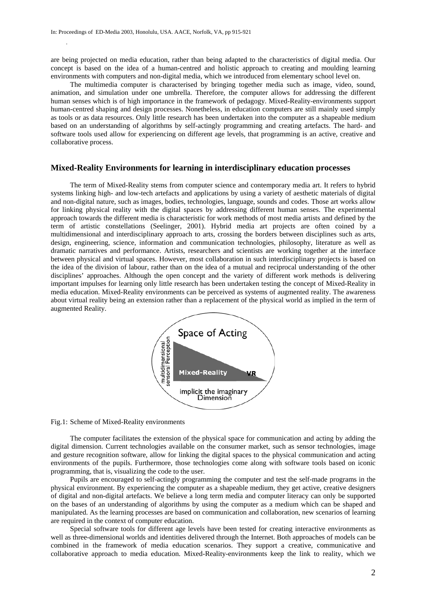are being projected on media education, rather than being adapted to the characteristics of digital media. Our concept is based on the idea of a human-centred and holistic approach to creating and moulding learning environments with computers and non-digital media, which we introduced from elementary school level on.

The multimedia computer is characterised by bringing together media such as image, video, sound, animation, and simulation under one umbrella. Therefore, the computer allows for addressing the different human senses which is of high importance in the framework of pedagogy. Mixed-Reality-environments support human-centred shaping and design processes. Nonetheless, in education computers are still mainly used simply as tools or as data resources. Only little research has been undertaken into the computer as a shapeable medium based on an understanding of algorithms by self-actingly programming and creating artefacts. The hard- and software tools used allow for experiencing on different age levels, that programming is an active, creative and collaborative process.

### **Mixed-Reality Environments for learning in interdisciplinary education processes**

The term of Mixed-Reality stems from computer science and contemporary media art. It refers to hybrid systems linking high- and low-tech artefacts and applications by using a variety of aesthetic materials of digital and non-digital nature, such as images, bodies, technologies, language, sounds and codes. Those art works allow for linking physical reality with the digital spaces by addressing different human senses. The experimental approach towards the different media is characteristic for work methods of most media artists and defined by the term of artistic constellations (Seelinger, 2001). Hybrid media art projects are often coined by a multidimensional and interdisciplinary approach to arts, crossing the borders between disciplines such as arts, design, engineering, science, information and communication technologies, philosophy, literature as well as dramatic narratives and performance. Artists, researchers and scientists are working together at the interface between physical and virtual spaces. However, most collaboration in such interdisciplinary projects is based on the idea of the division of labour, rather than on the idea of a mutual and reciprocal understanding of the other disciplines' approaches. Although the open concept and the variety of different work methods is delivering important impulses for learning only little research has been undertaken testing the concept of Mixed-Reality in media education. Mixed-Reality environments can be perceived as systems of augmented reality. The awareness about virtual reality being an extension rather than a replacement of the physical world as implied in the term of augmented Reality.



Fig.1: Scheme of Mixed-Reality environments

The computer facilitates the extension of the physical space for communication and acting by adding the digital dimension. Current technologies available on the consumer market, such as sensor technologies, image and gesture recognition software, allow for linking the digital spaces to the physical communication and acting environments of the pupils. Furthermore, those technologies come along with software tools based on iconic programming, that is, visualizing the code to the user.

Pupils are encouraged to self-actingly programming the computer and test the self-made programs in the physical environment. By experiencing the computer as a shapeable medium, they get active, creative designers of digital and non-digital artefacts. We believe a long term media and computer literacy can only be supported on the bases of an understanding of algorithms by using the computer as a medium which can be shaped and manipulated. As the learning processes are based on communication and collaboration, new scenarios of learning are required in the context of computer education.

Special software tools for different age levels have been tested for creating interactive environments as well as three-dimensional worlds and identities delivered through the Internet. Both approaches of models can be combined in the framework of media education scenarios. They support a creative, communicative and collaborative approach to media education. Mixed-Reality-environments keep the link to reality, which we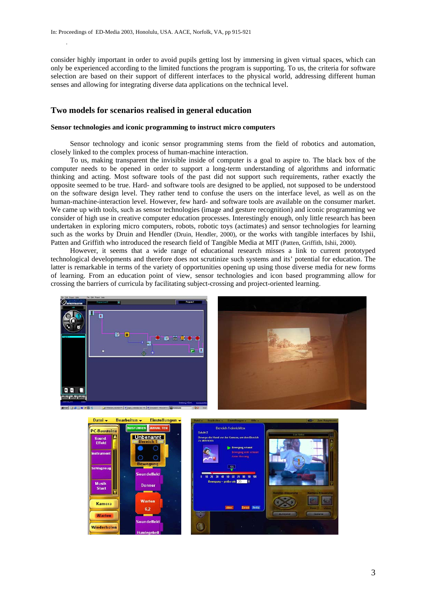consider highly important in order to avoid pupils getting lost by immersing in given virtual spaces, which can only be experienced according to the limited functions the program is supporting. To us, the criteria for software selection are based on their support of different interfaces to the physical world, addressing different human senses and allowing for integrating diverse data applications on the technical level.

## **Two models for scenarios realised in general education**

#### **Sensor technologies and iconic programming to instruct micro computers**

Sensor technology and iconic sensor programming stems from the field of robotics and automation, closely linked to the complex process of human-machine interaction.

To us, making transparent the invisible inside of computer is a goal to aspire to. The black box of the computer needs to be opened in order to support a long-term understanding of algorithms and informatic thinking and acting. Most software tools of the past did not support such requirements, rather exactly the opposite seemed to be true. Hard- and software tools are designed to be applied, not supposed to be understood on the software design level. They rather tend to confuse the users on the interface level, as well as on the human-machine-interaction level. However, few hard- and software tools are available on the consumer market. We came up with tools, such as sensor technologies (image and gesture recognition) and iconic programming we consider of high use in creative computer education processes. Interestingly enough, only little research has been undertaken in exploring micro computers, robots, robotic toys (actimates) and sensor technologies for learning such as the works by Druin and Hendler (Druin, Hendler, 2000), or the works with tangible interfaces by Ishii, Patten and Griffith who introduced the research field of Tangible Media at MIT (Patten, Griffith, Ishii, 2000).

However, it seems that a wide range of educational research misses a link to current prototyped technological developments and therefore does not scrutinize such systems and its' potential for education. The latter is remarkable in terms of the variety of opportunities opening up using those diverse media for new forms of learning. From an education point of view, sensor technologies and icon based programming allow for crossing the barriers of curricula by facilitating subject-crossing and project-oriented learning.



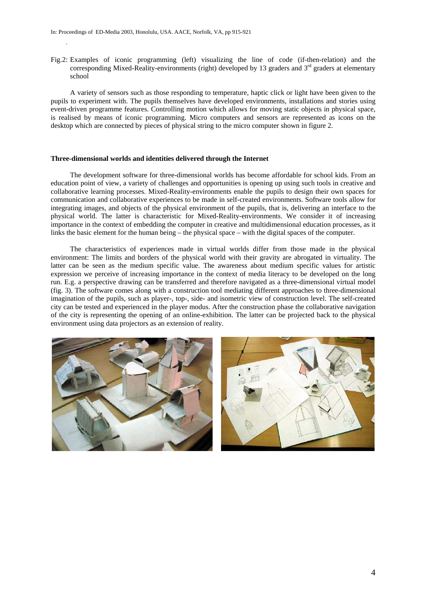Fig.2: Examples of iconic programming (left) visualizing the line of code (if-then-relation) and the corresponding Mixed-Reality-environments (right) developed by 13 graders and  $3<sup>rd</sup>$  graders at elementary school

A variety of sensors such as those responding to temperature, haptic click or light have been given to the pupils to experiment with. The pupils themselves have developed environments, installations and stories using event-driven programme features. Controlling motion which allows for moving static objects in physical space, is realised by means of iconic programming. Micro computers and sensors are represented as icons on the desktop which are connected by pieces of physical string to the micro computer shown in figure 2.

#### **Three-dimensional worlds and identities delivered through the Internet**

The development software for three-dimensional worlds has become affordable for school kids. From an education point of view, a variety of challenges and opportunities is opening up using such tools in creative and collaborative learning processes. Mixed-Reality-environments enable the pupils to design their own spaces for communication and collaborative experiences to be made in self-created environments. Software tools allow for integrating images, and objects of the physical environment of the pupils, that is, delivering an interface to the physical world. The latter is characteristic for Mixed-Reality-environments. We consider it of increasing importance in the context of embedding the computer in creative and multidimensional education processes, as it links the basic element for the human being – the physical space – with the digital spaces of the computer.

The characteristics of experiences made in virtual worlds differ from those made in the physical environment: The limits and borders of the physical world with their gravity are abrogated in virtuality. The latter can be seen as the medium specific value. The awareness about medium specific values for artistic expression we perceive of increasing importance in the context of media literacy to be developed on the long run. E.g. a perspective drawing can be transferred and therefore navigated as a three-dimensional virtual model (fig. 3). The software comes along with a construction tool mediating different approaches to three-dimensional imagination of the pupils, such as player-, top-, side- and isometric view of construction level. The self-created city can be tested and experienced in the player modus. After the construction phase the collaborative navigation of the city is representing the opening of an online-exhibition. The latter can be projected back to the physical environment using data projectors as an extension of reality.

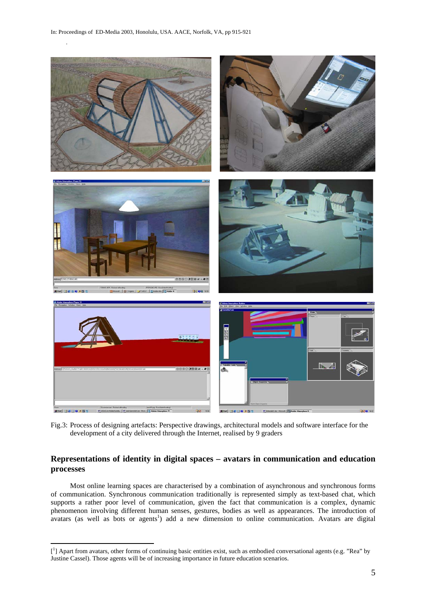$\overline{a}$ 



Fig.3: Process of designing artefacts: Perspective drawings, architectural models and software interface for the development of a city delivered through the Internet, realised by 9 graders

## **Representations of identity in digital spaces – avatars in communication and education processes**

Most online learning spaces are characterised by a combination of asynchronous and synchronous forms of communication. Synchronous communication traditionally is represented simply as text-based chat, which supports a rather poor level of communication, given the fact that communication is a complex, dynamic phenomenon involving different human senses, gestures, bodies as well as appearances. The introduction of avatars (as well as bots or agents<sup>1</sup>) add a new dimension to online communication. Avatars are digital

<sup>[&</sup>lt;sup>1</sup>] Apart from avatars, other forms of continuing basic entities exist, such as embodied conversational agents (e.g. "Rea" by Justine Cassel). Those agents will be of increasing importance in future education scenarios.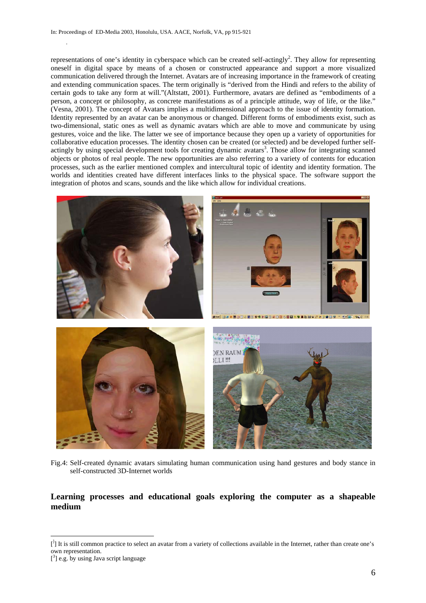representations of one's identity in cyberspace which can be created self-actingly<sup>2</sup>. They allow for representing oneself in digital space by means of a chosen or constructed appearance and support a more visualized communication delivered through the Internet. Avatars are of increasing importance in the framework of creating and extending communication spaces. The term originally is "derived from the Hindi and refers to the ability of certain gods to take any form at will."(Altstatt, 2001). Furthermore, avatars are defined as "embodiments of a person, a concept or philosophy, as concrete manifestations as of a principle attitude, way of life, or the like." (Vesna, 2001). The concept of Avatars implies a multidimensional approach to the issue of identity formation. Identity represented by an avatar can be anonymous or changed. Different forms of embodiments exist, such as two-dimensional, static ones as well as dynamic avatars which are able to move and communicate by using gestures, voice and the like. The latter we see of importance because they open up a variety of opportunities for collaborative education processes. The identity chosen can be created (or selected) and be developed further selfactingly by using special development tools for creating dynamic avatars<sup>3</sup>. Those allow for integrating scanned objects or photos of real people. The new opportunities are also referring to a variety of contents for education processes, such as the earlier mentioned complex and intercultural topic of identity and identity formation. The worlds and identities created have different interfaces links to the physical space. The software support the integration of photos and scans, sounds and the like which allow for individual creations.



 Fig.4: Self-created dynamic avatars simulating human communication using hand gestures and body stance in self-constructed 3D-Internet worlds

## **Learning processes and educational goals exploring the computer as a shapeable medium**

 $\overline{a}$ 

<sup>[&</sup>lt;sup>1</sup>] It is still common practice to select an avatar from a variety of collections available in the Internet, rather than create one's own representation.

 $[3]$  e.g. by using Java script language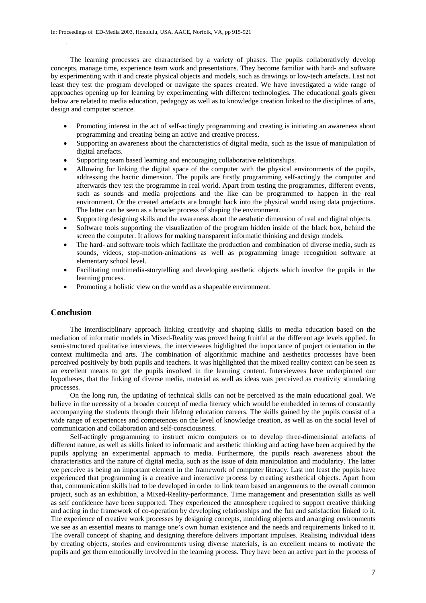The learning processes are characterised by a variety of phases. The pupils collaboratively develop concepts, manage time, experience team work and presentations. They become familiar with hard- and software by experimenting with it and create physical objects and models, such as drawings or low-tech artefacts. Last not least they test the program developed or navigate the spaces created. We have investigated a wide range of approaches opening up for learning by experimenting with different technologies. The educational goals given below are related to media education, pedagogy as well as to knowledge creation linked to the disciplines of arts, design and computer science.

- Promoting interest in the act of self-actingly programming and creating is initiating an awareness about programming and creating being an active and creative process.
- Supporting an awareness about the characteristics of digital media, such as the issue of manipulation of digital artefacts.
- Supporting team based learning and encouraging collaborative relationships.
- Allowing for linking the digital space of the computer with the physical environments of the pupils, addressing the hactic dimension. The pupils are firstly programming self-actingly the computer and afterwards they test the programme in real world. Apart from testing the programmes, different events, such as sounds and media projections and the like can be programmed to happen in the real environment. Or the created artefacts are brought back into the physical world using data projections. The latter can be seen as a broader process of shaping the environment.
- Supporting designing skills and the awareness about the aesthetic dimension of real and digital objects.
- Software tools supporting the visualization of the program hidden inside of the black box, behind the screen the computer. It allows for making transparent informatic thinking and design models.
- The hard- and software tools which facilitate the production and combination of diverse media, such as sounds, videos, stop-motion-animations as well as programming image recognition software at elementary school level.
- Facilitating multimedia-storytelling and developing aesthetic objects which involve the pupils in the learning process.
- Promoting a holistic view on the world as a shapeable environment.

## **Conclusion**

.

The interdisciplinary approach linking creativity and shaping skills to media education based on the mediation of informatic models in Mixed-Reality was proved being fruitful at the different age levels applied. In semi-structured qualitative interviews, the interviewees highlighted the importance of project orientation in the context multimedia and arts. The combination of algorithmic machine and aesthetics processes have been perceived positively by both pupils and teachers. It was highlighted that the mixed reality context can be seen as an excellent means to get the pupils involved in the learning content. Interviewees have underpinned our hypotheses, that the linking of diverse media, material as well as ideas was perceived as creativity stimulating processes.

On the long run, the updating of technical skills can not be perceived as the main educational goal. We believe in the necessity of a broader concept of media literacy which would be embedded in terms of constantly accompanying the students through their lifelong education careers. The skills gained by the pupils consist of a wide range of experiences and competences on the level of knowledge creation, as well as on the social level of communication and collaboration and self-consciousness.

Self-actingly programming to instruct micro computers or to develop three-dimensional artefacts of different nature, as well as skills linked to informatic and aesthetic thinking and acting have been acquired by the pupils applying an experimental approach to media. Furthermore, the pupils reach awareness about the characteristics and the nature of digital media, such as the issue of data manipulation and modularity. The latter we perceive as being an important element in the framework of computer literacy. Last not least the pupils have experienced that programming is a creative and interactive process by creating aesthetical objects. Apart from that, communication skills had to be developed in order to link team based arrangements to the overall common project, such as an exhibition, a Mixed-Reality-performance. Time management and presentation skills as well as self confidence have been supported. They experienced the atmosphere required to support creative thinking and acting in the framework of co-operation by developing relationships and the fun and satisfaction linked to it. The experience of creative work processes by designing concepts, moulding objects and arranging environments we see as an essential means to manage one's own human existence and the needs and requirements linked to it. The overall concept of shaping and designing therefore delivers important impulses. Realising individual ideas by creating objects, stories and environments using diverse materials, is an excellent means to motivate the pupils and get them emotionally involved in the learning process. They have been an active part in the process of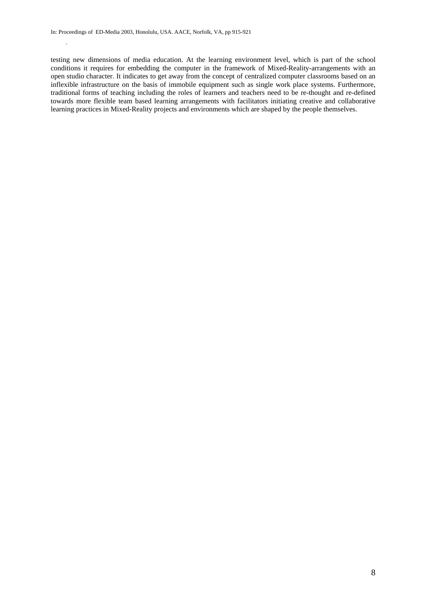testing new dimensions of media education. At the learning environment level, which is part of the school conditions it requires for embedding the computer in the framework of Mixed-Reality-arrangements with an open studio character. It indicates to get away from the concept of centralized computer classrooms based on an inflexible infrastructure on the basis of immobile equipment such as single work place systems. Furthermore, traditional forms of teaching including the roles of learners and teachers need to be re-thought and re-defined towards more flexible team based learning arrangements with facilitators initiating creative and collaborative learning practices in Mixed-Reality projects and environments which are shaped by the people themselves.